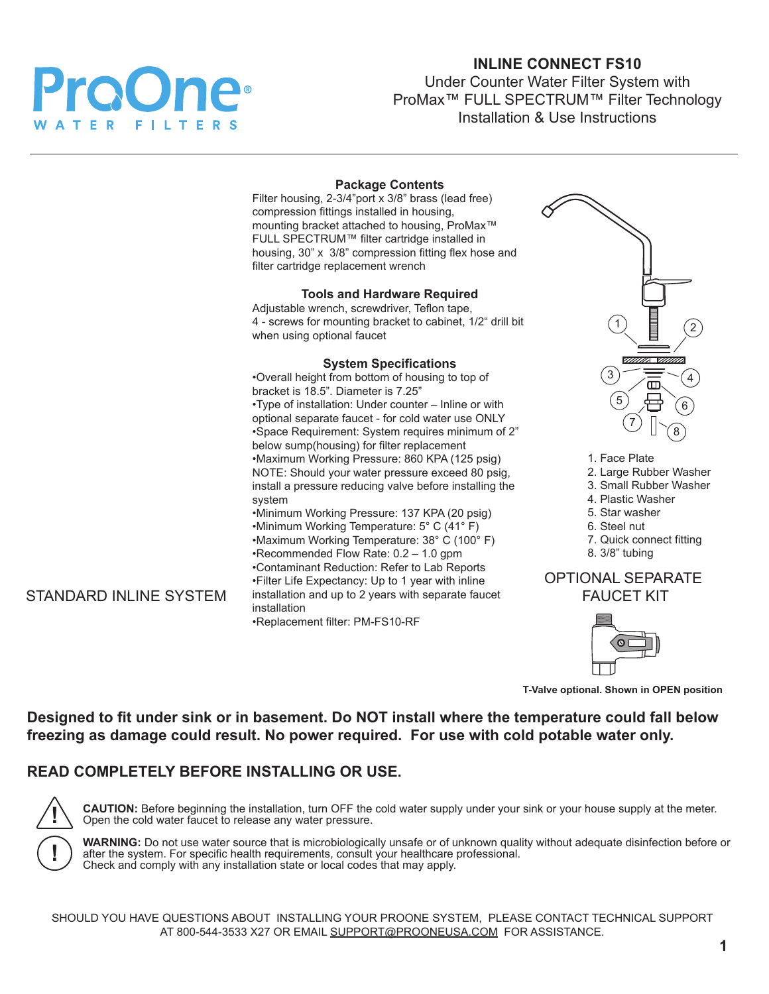

# **INLINE CONNECT FS10**

Under Counter Water Filter System with ProMax™ FULL SPECTRUM™ Filter Technology Installation & Use Instructions

|                               | <b>Package Contents</b><br>Filter housing, 2-3/4"port x 3/8" brass (lead free)<br>compression fittings installed in housing,<br>mounting bracket attached to housing, ProMax™<br>FULL SPECTRUM™ filter cartridge installed in<br>housing, 30" x 3/8" compression fitting flex hose and<br>filter cartridge replacement wrench                                                                                                                                                                                                                                                                                                                                                                                                                                                                                                                                                           |                                                                                                                                                                                                                                                           |
|-------------------------------|-----------------------------------------------------------------------------------------------------------------------------------------------------------------------------------------------------------------------------------------------------------------------------------------------------------------------------------------------------------------------------------------------------------------------------------------------------------------------------------------------------------------------------------------------------------------------------------------------------------------------------------------------------------------------------------------------------------------------------------------------------------------------------------------------------------------------------------------------------------------------------------------|-----------------------------------------------------------------------------------------------------------------------------------------------------------------------------------------------------------------------------------------------------------|
|                               | <b>Tools and Hardware Required</b><br>Adjustable wrench, screwdriver, Teflon tape,<br>4 - screws for mounting bracket to cabinet, 1/2" drill bit<br>when using optional faucet                                                                                                                                                                                                                                                                                                                                                                                                                                                                                                                                                                                                                                                                                                          |                                                                                                                                                                                                                                                           |
| <b>STANDARD INLINE SYSTEM</b> | <b>System Specifications</b><br>.Overall height from bottom of housing to top of<br>bracket is 18.5". Diameter is 7.25"<br>.Type of installation: Under counter - Inline or with<br>optional separate faucet - for cold water use ONLY<br>*Space Requirement: System requires minimum of 2"<br>below sump(housing) for filter replacement<br>•Maximum Working Pressure: 860 KPA (125 psig)<br>NOTE: Should your water pressure exceed 80 psig,<br>install a pressure reducing valve before installing the<br>system<br>•Minimum Working Pressure: 137 KPA (20 psig)<br>•Minimum Working Temperature: 5° C (41° F)<br>•Maximum Working Temperature: 38° C (100° F)<br>•Recommended Flow Rate: 0.2 - 1.0 gpm<br>•Contaminant Reduction: Refer to Lab Reports<br>• Filter Life Expectancy: Up to 1 year with inline<br>installation and up to 2 years with separate faucet<br>installation | UMMA VM<br>$\overline{3}$<br>5<br>1. Face Plate<br>2. Large Rubber Washer<br>3. Small Rubber Washer<br>4. Plastic Washer<br>5. Star washer<br>6. Steel nut<br>7. Quick connect fitting<br>8. 3/8" tubing<br><b>OPTIONAL SEPARATE</b><br><b>FAUCET KIT</b> |
|                               | •Replacement filter: PM-FS10-RF                                                                                                                                                                                                                                                                                                                                                                                                                                                                                                                                                                                                                                                                                                                                                                                                                                                         |                                                                                                                                                                                                                                                           |

**T-Valve optional. Shown in OPEN position**

**Designed to fit under sink or in basement. Do NOT install where the temperature could fall below freezing as damage could result. No power required. For use with cold potable water only.**

# **READ COMPLETELY BEFORE INSTALLING OR USE.**



**CAUTION:** Before beginning the installation, turn OFF the cold water supply under your sink or your house supply at the meter. Open the cold water faucet to release any water pressure.

**WARNING:** Do not use water source that is microbiologically unsafe or of unknown quality without adequate disinfection before or after the system. For specific health requirements, consult your healthcare professional. Check and comply with any installation state or local codes that may apply.

SHOULD YOU HAVE QUESTIONS ABOUT INSTALLING YOUR PROONE SYSTEM, PLEASE CONTACT TECHNICAL SUPPORT AT 800-544-3533 X27 OR EMAIL SUPPORT@PROONEUSA.COM FOR ASSISTANCE.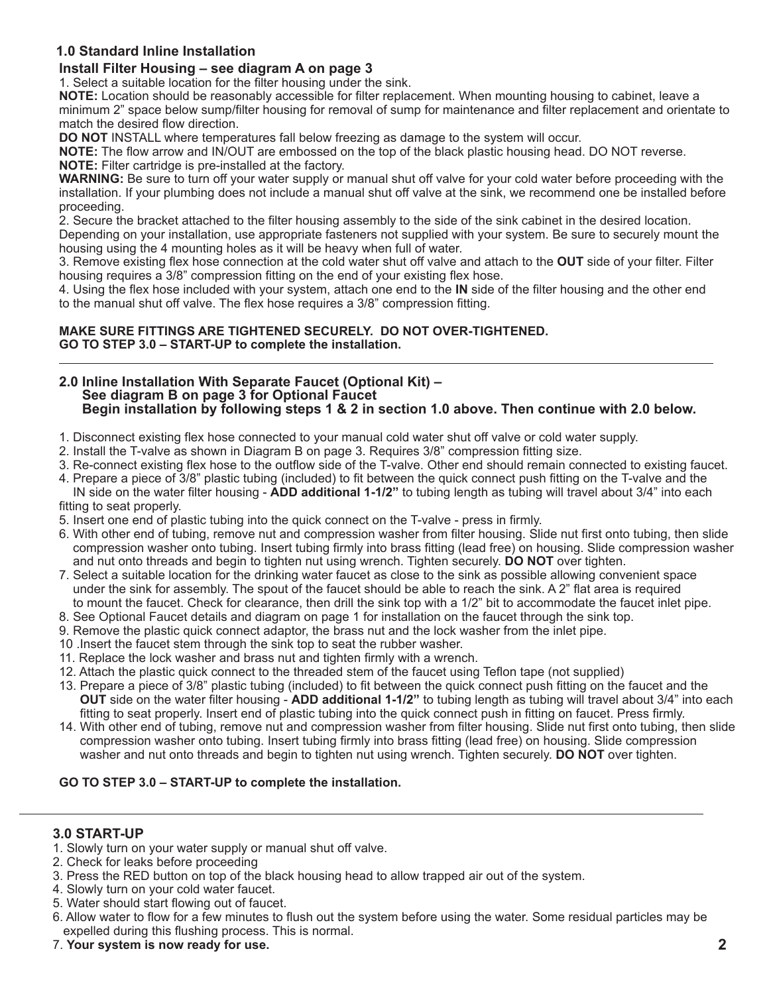## **1.0 Standard Inline Installation**

## **Install Filter Housing – see diagram A on page 3**

1. Select a suitable location for the filter housing under the sink.

**NOTE:** Location should be reasonably accessible for filter replacement. When mounting housing to cabinet, leave a minimum 2" space below sump/filter housing for removal of sump for maintenance and filter replacement and orientate to match the desired flow direction.

**DO NOT** INSTALL where temperatures fall below freezing as damage to the system will occur.

**NOTE:** The flow arrow and IN/OUT are embossed on the top of the black plastic housing head. DO NOT reverse. **NOTE:** Filter cartridge is pre-installed at the factory.

**WARNING:** Be sure to turn off your water supply or manual shut off valve for your cold water before proceeding with the installation. If your plumbing does not include a manual shut off valve at the sink, we recommend one be installed before proceeding.

2. Secure the bracket attached to the filter housing assembly to the side of the sink cabinet in the desired location. Depending on your installation, use appropriate fasteners not supplied with your system. Be sure to securely mount the housing using the 4 mounting holes as it will be heavy when full of water.

3. Remove existing flex hose connection at the cold water shut off valve and attach to the **OUT** side of your filter. Filter housing requires a 3/8" compression fitting on the end of your existing flex hose.

4. Using the flex hose included with your system, attach one end to the **IN** side of the filter housing and the other end to the manual shut off valve. The flex hose requires a 3/8" compression fitting.

**MAKE SURE FITTINGS ARE TIGHTENED SECURELY. DO NOT OVER-TIGHTENED. GO TO STEP 3.0 – START-UP to complete the installation.**

#### **2.0 Inline Installation With Separate Faucet (Optional Kit) – See diagram B on page 3 for Optional Faucet Begin installation by following steps 1 & 2 in section 1.0 above. Then continue with 2.0 below.**

- 1. Disconnect existing flex hose connected to your manual cold water shut off valve or cold water supply.
- 2. Install the T-valve as shown in Diagram B on page 3. Requires 3/8" compression fitting size.
- 3. Re-connect existing flex hose to the outflow side of the T-valve. Other end should remain connected to existing faucet.
- 4. Prepare a piece of 3/8" plastic tubing (included) to fit between the quick connect push fitting on the T-valve and the IN side on the water filter housing - **ADD additional 1-1/2"** to tubing length as tubing will travel about 3/4" into each fitting to seat properly.
- 5. Insert one end of plastic tubing into the quick connect on the T-valve press in firmly.
- 6. With other end of tubing, remove nut and compression washer from filter housing. Slide nut first onto tubing, then slide compression washer onto tubing. Insert tubing firmly into brass fitting (lead free) on housing. Slide compression washer and nut onto threads and begin to tighten nut using wrench. Tighten securely. **DO NOT** over tighten.
- 7. Select a suitable location for the drinking water faucet as close to the sink as possible allowing convenient space under the sink for assembly. The spout of the faucet should be able to reach the sink. A 2" flat area is required to mount the faucet. Check for clearance, then drill the sink top with a 1/2" bit to accommodate the faucet inlet pipe.
- 8. See Optional Faucet details and diagram on page 1 for installation on the faucet through the sink top.
- 9. Remove the plastic quick connect adaptor, the brass nut and the lock washer from the inlet pipe.
- 10 .Insert the faucet stem through the sink top to seat the rubber washer.
- 11. Replace the lock washer and brass nut and tighten firmly with a wrench.
- 12. Attach the plastic quick connect to the threaded stem of the faucet using Teflon tape (not supplied)
- 13. Prepare a piece of 3/8" plastic tubing (included) to fit between the quick connect push fitting on the faucet and the **OUT** side on the water filter housing - **ADD additional 1-1/2"** to tubing length as tubing will travel about 3/4" into each fitting to seat properly. Insert end of plastic tubing into the quick connect push in fitting on faucet. Press firmly.
- 14. With other end of tubing, remove nut and compression washer from filter housing. Slide nut first onto tubing, then slide compression washer onto tubing. Insert tubing firmly into brass fitting (lead free) on housing. Slide compression washer and nut onto threads and begin to tighten nut using wrench. Tighten securely. **DO NOT** over tighten.

### **GO TO STEP 3.0 – START-UP to complete the installation.**

## **3.0 START-UP**

- 1. Slowly turn on your water supply or manual shut off valve.
- 2. Check for leaks before proceeding
- 3. Press the RED button on top of the black housing head to allow trapped air out of the system.
- 4. Slowly turn on your cold water faucet.
- 5. Water should start flowing out of faucet.
- 6. Allow water to flow for a few minutes to flush out the system before using the water. Some residual particles may be expelled during this flushing process. This is normal.
- 7. **Your system is now ready for use.**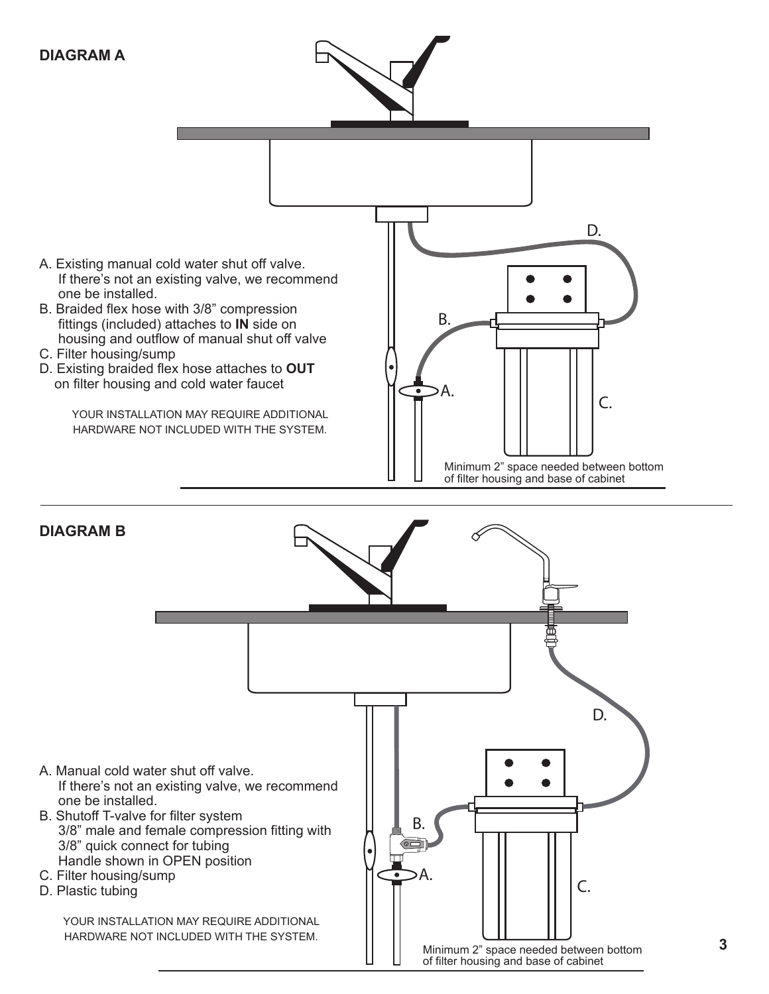